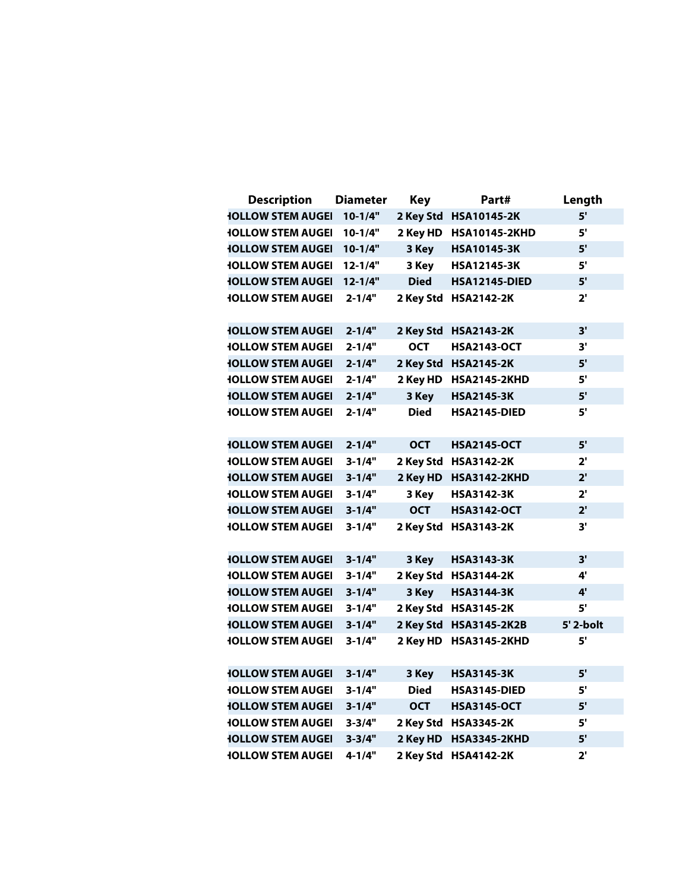N&N Drilling Supply Mfr. . (800) 334-4927

| <b>Description</b>               | <b>Diameter</b> | <b>Key</b>  | Part#                 | Length           |
|----------------------------------|-----------------|-------------|-----------------------|------------------|
| <b>HOLLOW STEM AUGER 10-1/4"</b> |                 |             | 2 Key Std HSA10145-2K | 5'               |
| <b>HOLLOW STEM AUGER 10-1/4"</b> |                 | 2 Key HD    | <b>HSA10145-2KHD</b>  | 5'               |
| <b>HOLLOW STEM AUGER 10-1/4"</b> |                 | 3 Key       | <b>HSA10145-3K</b>    | 5'               |
| <b>HOLLOW STEM AUGER 12-1/4"</b> |                 | 3 Key       | <b>HSA12145-3K</b>    | 5'               |
| <b>HOLLOW STEM AUGER 12-1/4"</b> |                 | <b>Died</b> | <b>HSA12145-DIED</b>  | 5'               |
| <b>HOLLOW STEM AUGER</b>         | $2 - 1/4"$      | 2 Key Std   | <b>HSA2142-2K</b>     | 2'               |
| <b>HOLLOW STEM AUGER</b>         | $2 - 1/4"$      |             | 2 Key Std HSA2143-2K  | 3'               |
| <b>HOLLOW STEM AUGER</b>         | $2 - 1/4"$      | <b>OCT</b>  | <b>HSA2143-OCT</b>    | 3'               |
| <b>HOLLOW STEM AUGER</b>         | $2 - 1/4"$      |             | 2 Key Std HSA2145-2K  | 5'               |
| <b>HOLLOW STEM AUGER</b>         | $2 - 1/4"$      | 2 Key HD    | <b>HSA2145-2KHD</b>   | 5'               |
| <b>HOLLOW STEM AUGER</b>         | $2 - 1/4"$      | 3 Key       | <b>HSA2145-3K</b>     | 5'               |
| <b>HOLLOW STEM AUGER</b>         | $2 - 1/4"$      | <b>Died</b> | HSA2145-DIED          | 5'               |
| <b>HOLLOW STEM AUGER</b>         | $2 - 1/4"$      | <b>OCT</b>  | <b>HSA2145-OCT</b>    | 5'               |
| <b>HOLLOW STEM AUGER</b>         | $3 - 1/4"$      |             | 2 Key Std HSA3142-2K  | 2'               |
| <b>HOLLOW STEM AUGER</b>         | $3 - 1/4"$      | 2 Key HD    | <b>HSA3142-2KHD</b>   | 2'               |
| <b>HOLLOW STEM AUGER</b>         | $3 - 1/4"$      | 3 Key       | <b>HSA3142-3K</b>     | 2'               |
| <b>HOLLOW STEM AUGER</b>         | $3 - 1/4"$      | <b>OCT</b>  | <b>HSA3142-OCT</b>    | 2'               |
| <b>IOLLOW STEM AUGEI</b>         | $3 - 1/4"$      | 2 Key Std   | <b>HSA3143-2K</b>     | 3'               |
| <b>HOLLOW STEM AUGER</b>         | $3 - 1/4"$      | 3 Key       | <b>HSA3143-3K</b>     | 3'               |
| <b>HOLLOW STEM AUGER</b>         | $3 - 1/4"$      | 2 Key Std   | <b>HSA3144-2K</b>     | 4'               |
| <b>HOLLOW STEM AUGER</b>         | $3 - 1/4"$      | 3 Key       | <b>HSA3144-3K</b>     | 4'               |
| <b>HOLLOW STEM AUGER</b>         | $3 - 1/4"$      | 2 Key Std   | <b>HSA3145-2K</b>     | 5'               |
| <b>HOLLOW STEM AUGER</b>         | $3 - 1/4"$      | 2 Key Std   | HSA3145-2K2B          | <b>5' 2-bolt</b> |
| <b>HOLLOW STEM AUGER</b>         | $3 - 1/4"$      | 2 Key HD    | <b>HSA3145-2KHD</b>   | 5'               |
| <b>HOLLOW STEM AUGER</b>         | $3 - 1/4"$      | 3 Key       | <b>HSA3145-3K</b>     | 5'               |
| <b>HOLLOW STEM AUGER</b>         | $3 - 1/4"$      | <b>Died</b> | HSA3145-DIED          | 5'               |
| <b>HOLLOW STEM AUGER</b>         | $3 - 1/4"$      | <b>OCT</b>  | <b>HSA3145-OCT</b>    | 5'               |
| <b>HOLLOW STEM AUGER</b>         | $3 - 3/4"$      | 2 Key Std   | <b>HSA3345-2K</b>     | 5'               |
| <b>HOLLOW STEM AUGER</b>         | $3 - 3/4"$      | 2 Key HD    | <b>HSA3345-2KHD</b>   | 5'               |
| <b>HOLLOW STEM AUGER</b>         | $4 - 1/4"$      | 2 Key Std   | <b>HSA4142-2K</b>     | 2'               |

Under N&N Drilling's Total Quality Management program, we reserve the right to modify design and materials without prior notice.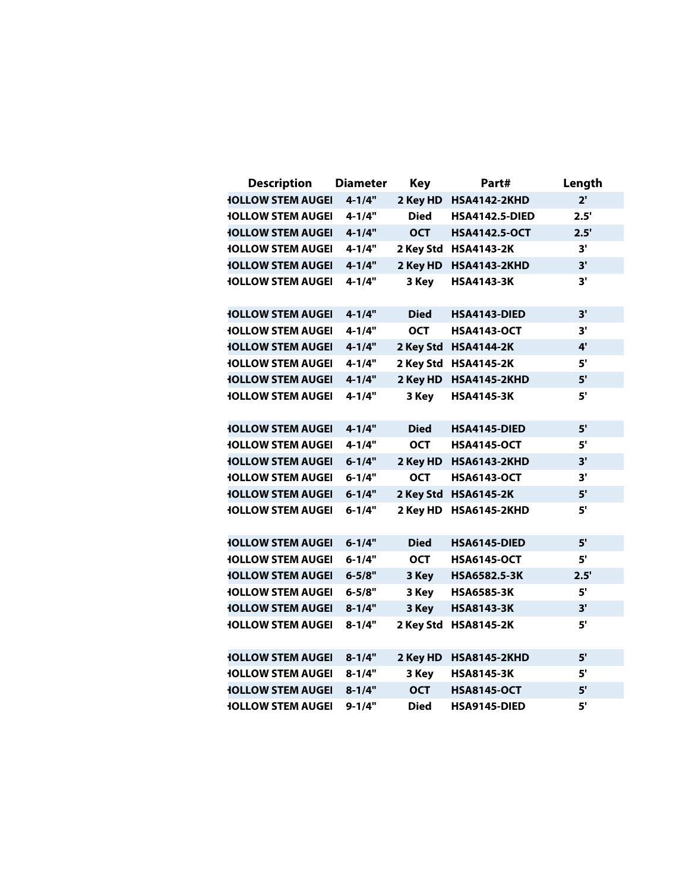# N&N Drilling Supply Mfr. . (800) 334-4927

| <b>Description</b>       | <b>Diameter</b> | <b>Key</b>  | Part#                 | Length |
|--------------------------|-----------------|-------------|-----------------------|--------|
| <b>HOLLOW STEM AUGER</b> | $4 - 1/4"$      | 2 Key HD    | <b>HSA4142-2KHD</b>   | 2'     |
| <b>HOLLOW STEM AUGER</b> | 4-1/4"          | <b>Died</b> | <b>HSA4142.5-DIED</b> | 2.5'   |
| <b>HOLLOW STEM AUGER</b> | $4 - 1/4"$      | <b>OCT</b>  | <b>HSA4142.5-OCT</b>  | 2.5'   |
| <b>HOLLOW STEM AUGER</b> | $4 - 1/4"$      |             | 2 Key Std HSA4143-2K  | 3'     |
| <b>HOLLOW STEM AUGER</b> | $4 - 1/4"$      |             | 2 Key HD HSA4143-2KHD | 3'     |
| <b>HOLLOW STEM AUGER</b> | $4 - 1/4"$      | 3 Key       | <b>HSA4143-3K</b>     | 3'     |
| <b>HOLLOW STEM AUGER</b> | $4 - 1/4"$      | <b>Died</b> | HSA4143-DIED          | 3'     |
| <b>HOLLOW STEM AUGER</b> | $4 - 1/4"$      | <b>OCT</b>  | <b>HSA4143-OCT</b>    | 3'     |
| <b>HOLLOW STEM AUGER</b> | $4 - 1/4"$      |             | 2 Key Std HSA4144-2K  | 4'     |
| <b>HOLLOW STEM AUGER</b> | $4 - 1/4"$      |             | 2 Key Std HSA4145-2K  | 5'     |
| <b>HOLLOW STEM AUGER</b> | $4 - 1/4"$      |             | 2 Key HD HSA4145-2KHD | 5'     |
| <b>IOLLOW STEM AUGEI</b> | $4 - 1/4"$      | 3 Key       | <b>HSA4145-3K</b>     | 5'     |
| <b>IOLLOW STEM AUGEI</b> | $4 - 1/4"$      | <b>Died</b> | HSA4145-DIED          | 5'     |
| <b>IOLLOW STEM AUGEI</b> | $4 - 1/4"$      | <b>OCT</b>  | <b>HSA4145-OCT</b>    | 5'     |
| <b>IOLLOW STEM AUGEI</b> | $6 - 1/4"$      |             | 2 Key HD HSA6143-2KHD | 3'     |
| <b>IOLLOW STEM AUGEI</b> | $6 - 1/4"$      | <b>OCT</b>  | <b>HSA6143-OCT</b>    | 3'     |
| <b>IOLLOW STEM AUGEI</b> | $6 - 1/4"$      |             | 2 Key Std HSA6145-2K  | 5'     |
| <b>IOLLOW STEM AUGEI</b> | $6 - 1/4"$      | 2 Key HD    | <b>HSA6145-2KHD</b>   | 5'     |
| <b>IOLLOW STEM AUGEI</b> | $6 - 1/4"$      | <b>Died</b> | HSA6145-DIED          | 5'     |
| <b>IOLLOW STEM AUGEI</b> | $6 - 1/4"$      | <b>OCT</b>  | <b>HSA6145-OCT</b>    | 5'     |
| <b>IOLLOW STEM AUGEI</b> | $6 - 5/8"$      | 3 Key       | HSA6582.5-3K          | 2.5'   |
| <b>IOLLOW STEM AUGEI</b> | $6 - 5/8"$      | 3 Key       | <b>HSA6585-3K</b>     | 5'     |
| <b>IOLLOW STEM AUGEI</b> | $8 - 1/4"$      | 3 Key       | <b>HSA8143-3K</b>     | 3'     |
| <b>IOLLOW STEM AUGEI</b> | $8 - 1/4"$      | 2 Key Std   | <b>HSA8145-2K</b>     | 5'     |
| <b>IOLLOW STEM AUGEI</b> | $8 - 1/4"$      | 2 Key HD    | <b>HSA8145-2KHD</b>   | 5'     |
| <b>IOLLOW STEM AUGEI</b> | $8 - 1/4"$      | 3 Key       | <b>HSA8145-3K</b>     | 5'     |
| <b>IOLLOW STEM AUGEI</b> | $8 - 1/4"$      | <b>OCT</b>  | <b>HSA8145-OCT</b>    | 5'     |
| <b>IOLLOW STEM AUGEI</b> | $9 - 1/4"$      | Died        | HSA9145-DIED          | 5'     |

Under N&N Drilling's Total Quality Management program, we reserve the right to modify design and materials without prior notice.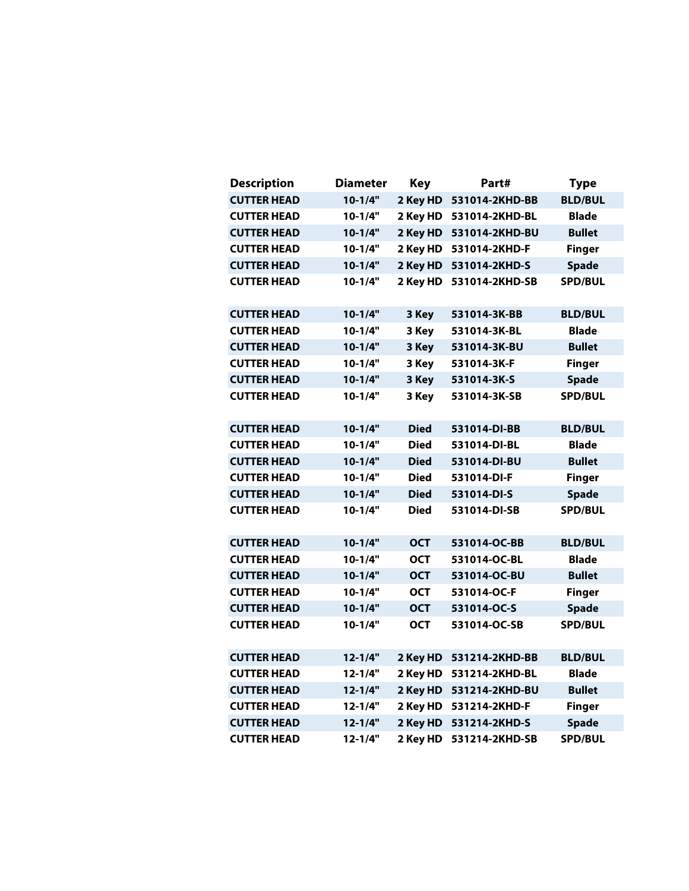N&N Drilling Supply Mfr. . (800) 334-4927

| <b>Description</b> | <b>Diameter</b> | <b>Key</b>  | Part#          | <b>Type</b>    |
|--------------------|-----------------|-------------|----------------|----------------|
| <b>CUTTER HEAD</b> | $10 - 1/4"$     | 2 Key HD    | 531014-2KHD-BB | <b>BLD/BUL</b> |
| <b>CUTTER HEAD</b> | $10 - 1/4"$     | 2 Key HD    | 531014-2KHD-BL | <b>Blade</b>   |
| <b>CUTTER HEAD</b> | $10 - 1/4"$     | 2 Key HD    | 531014-2KHD-BU | <b>Bullet</b>  |
| <b>CUTTER HEAD</b> | $10 - 1/4"$     | 2 Key HD    | 531014-2KHD-F  | <b>Finger</b>  |
| <b>CUTTER HEAD</b> | $10 - 1/4"$     | 2 Key HD    | 531014-2KHD-S  | <b>Spade</b>   |
| <b>CUTTER HEAD</b> | $10 - 1/4"$     | 2 Key HD    | 531014-2KHD-SB | <b>SPD/BUL</b> |
| <b>CUTTER HEAD</b> | $10 - 1/4"$     | 3 Key       | 531014-3K-BB   | <b>BLD/BUL</b> |
| <b>CUTTER HEAD</b> | $10 - 1/4"$     | 3 Key       | 531014-3K-BL   | <b>Blade</b>   |
| <b>CUTTER HEAD</b> | $10 - 1/4"$     | 3 Key       | 531014-3K-BU   | <b>Bullet</b>  |
| <b>CUTTER HEAD</b> | $10 - 1/4"$     | 3 Key       | 531014-3K-F    | <b>Finger</b>  |
| <b>CUTTER HEAD</b> | $10 - 1/4"$     | 3 Key       | 531014-3K-S    | <b>Spade</b>   |
| <b>CUTTER HEAD</b> | $10 - 1/4"$     | 3 Key       | 531014-3K-SB   | <b>SPD/BUL</b> |
| <b>CUTTER HEAD</b> | $10 - 1/4"$     | <b>Died</b> | 531014-DI-BB   | <b>BLD/BUL</b> |
| <b>CUTTER HEAD</b> | $10-1/4"$       | <b>Died</b> | 531014-DI-BL   | <b>Blade</b>   |
| <b>CUTTER HEAD</b> | $10 - 1/4"$     | <b>Died</b> | 531014-DI-BU   | <b>Bullet</b>  |
| <b>CUTTER HEAD</b> | $10-1/4"$       | <b>Died</b> | 531014-DI-F    | <b>Finger</b>  |
| <b>CUTTER HEAD</b> | $10 - 1/4"$     | <b>Died</b> | 531014-DI-S    | <b>Spade</b>   |
| <b>CUTTER HEAD</b> | $10-1/4"$       | <b>Died</b> | 531014-DI-SB   | <b>SPD/BUL</b> |
| <b>CUTTER HEAD</b> | $10 - 1/4"$     | <b>OCT</b>  | 531014-OC-BB   | <b>BLD/BUL</b> |
| <b>CUTTER HEAD</b> | $10-1/4"$       | <b>OCT</b>  | 531014-OC-BL   | <b>Blade</b>   |
| <b>CUTTER HEAD</b> | $10 - 1/4"$     | <b>OCT</b>  | 531014-OC-BU   | <b>Bullet</b>  |
| <b>CUTTER HEAD</b> | $10 - 1/4"$     | <b>OCT</b>  | 531014-OC-F    | <b>Finger</b>  |
| <b>CUTTER HEAD</b> | $10 - 1/4"$     | <b>OCT</b>  | 531014-OC-S    | <b>Spade</b>   |
| <b>CUTTER HEAD</b> | $10 - 1/4"$     | OCT         | 531014-OC-SB   | <b>SPD/BUL</b> |
| <b>CUTTER HEAD</b> | $12 - 1/4"$     | 2 Key HD    | 531214-2KHD-BB | <b>BLD/BUL</b> |
| <b>CUTTER HEAD</b> | $12 - 1/4"$     | 2 Key HD    | 531214-2KHD-BL | <b>Blade</b>   |
| <b>CUTTER HEAD</b> | $12 - 1/4"$     | 2 Key HD    | 531214-2KHD-BU | <b>Bullet</b>  |
| <b>CUTTER HEAD</b> | $12 - 1/4"$     | 2 Key HD    | 531214-2KHD-F  | <b>Finger</b>  |
| <b>CUTTER HEAD</b> | $12 - 1/4"$     | 2 Key HD    | 531214-2KHD-S  | <b>Spade</b>   |
| <b>CUTTER HEAD</b> | $12 - 1/4"$     | 2 Key HD    | 531214-2KHD-SB | SPD/BUL        |

Under N&N Drilling's Total Quality Management program, we reserve the right to modify design and materials without prior notice.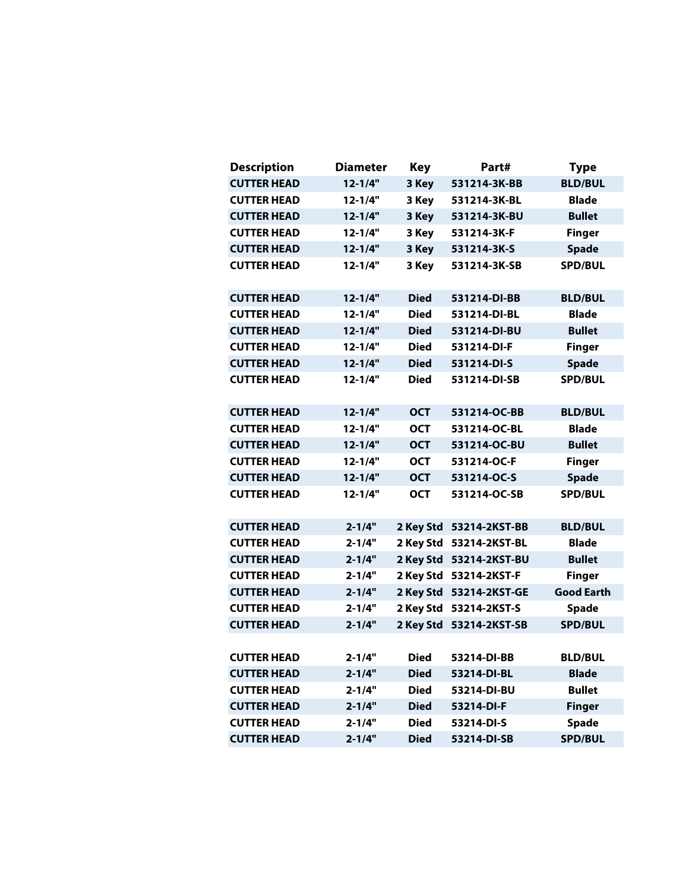N&N Drilling Supply Mfr. . (800) 334-4927

| <b>Description</b> | Diameter    | <b>Key</b>  | Part#         | <b>Type</b>       |
|--------------------|-------------|-------------|---------------|-------------------|
| <b>CUTTER HEAD</b> | $12 - 1/4"$ | 3 Key       | 531214-3K-BB  | <b>BLD/BUL</b>    |
| <b>CUTTER HEAD</b> | 12-1/4"     | 3 Key       | 531214-3K-BL  | <b>Blade</b>      |
| <b>CUTTER HEAD</b> | 12-1/4"     | 3 Key       | 531214-3K-BU  | <b>Bullet</b>     |
| <b>CUTTER HEAD</b> | $12 - 1/4"$ | 3 Key       | 531214-3K-F   | <b>Finger</b>     |
| <b>CUTTER HEAD</b> | 12-1/4"     | 3 Key       | 531214-3K-S   | <b>Spade</b>      |
| <b>CUTTER HEAD</b> | 12-1/4"     | 3 Key       | 531214-3K-SB  | SPD/BUL           |
| <b>CUTTER HEAD</b> | $12 - 1/4"$ | <b>Died</b> | 531214-DI-BB  | <b>BLD/BUL</b>    |
| <b>CUTTER HEAD</b> | 12-1/4"     | <b>Died</b> | 531214-DI-BL  | <b>Blade</b>      |
| <b>CUTTER HEAD</b> | 12-1/4"     | <b>Died</b> | 531214-DI-BU  | <b>Bullet</b>     |
| <b>CUTTER HEAD</b> | $12 - 1/4"$ | <b>Died</b> | 531214-DI-F   | <b>Finger</b>     |
| <b>CUTTER HEAD</b> | 12-1/4"     | <b>Died</b> | 531214-DI-S   | <b>Spade</b>      |
| <b>CUTTER HEAD</b> | 12-1/4"     | <b>Died</b> | 531214-DI-SB  | <b>SPD/BUL</b>    |
| <b>CUTTER HEAD</b> | $12 - 1/4"$ | ОСТ         | 531214-OC-BB  | <b>BLD/BUL</b>    |
| <b>CUTTER HEAD</b> | 12-1/4"     | OCT         | 531214-OC-BL  | <b>Blade</b>      |
| <b>CUTTER HEAD</b> | $12 - 1/4"$ | OCT         | 531214-OC-BU  | <b>Bullet</b>     |
| <b>CUTTER HEAD</b> | 12-1/4"     | OCT         | 531214-OC-F   | <b>Finger</b>     |
| <b>CUTTER HEAD</b> | $12 - 1/4"$ | ОСТ         | 531214-OC-S   | <b>Spade</b>      |
| <b>CUTTER HEAD</b> | 12-1/4"     | <b>OCT</b>  | 531214-OC-SB  | <b>SPD/BUL</b>    |
| <b>CUTTER HEAD</b> | $2 - 1/4"$  | 2 Key Std   | 53214-2KST-BB | <b>BLD/BUL</b>    |
| <b>CUTTER HEAD</b> | $2 - 1/4"$  | 2 Key Std   | 53214-2KST-BL | <b>Blade</b>      |
| <b>CUTTER HEAD</b> | $2 - 1/4"$  | 2 Key Std   | 53214-2KST-BU | <b>Bullet</b>     |
| <b>CUTTER HEAD</b> | $2 - 1/4"$  | 2 Key Std   | 53214-2KST-F  | <b>Finger</b>     |
| <b>CUTTER HEAD</b> | $2 - 1/4"$  | 2 Key Std   | 53214-2KST-GE | <b>Good Earth</b> |
| <b>CUTTER HEAD</b> | $2 - 1/4"$  | 2 Key Std   | 53214-2KST-S  | <b>Spade</b>      |
| <b>CUTTER HEAD</b> | $2 - 1/4"$  | 2 Key Std   | 53214-2KST-SB | <b>SPD/BUL</b>    |
| <b>CUTTER HEAD</b> | $2 - 1/4"$  | Died        | 53214-DI-BB   | <b>BLD/BUL</b>    |
| <b>CUTTER HEAD</b> | $2 - 1/4"$  | <b>Died</b> | 53214-DI-BL   | <b>Blade</b>      |
| <b>CUTTER HEAD</b> | $2 - 1/4"$  | <b>Died</b> | 53214-DI-BU   | <b>Bullet</b>     |
| <b>CUTTER HEAD</b> | $2 - 1/4"$  | <b>Died</b> | 53214-DI-F    | <b>Finger</b>     |
| <b>CUTTER HEAD</b> | $2 - 1/4"$  | <b>Died</b> | 53214-DI-S    | <b>Spade</b>      |
| <b>CUTTER HEAD</b> | $2 - 1/4"$  | <b>Died</b> | 53214-DI-SB   | <b>SPD/BUL</b>    |

Under N&N Drilling's Total Quality Management program, we reserve the right to modify design and materials without prior notice.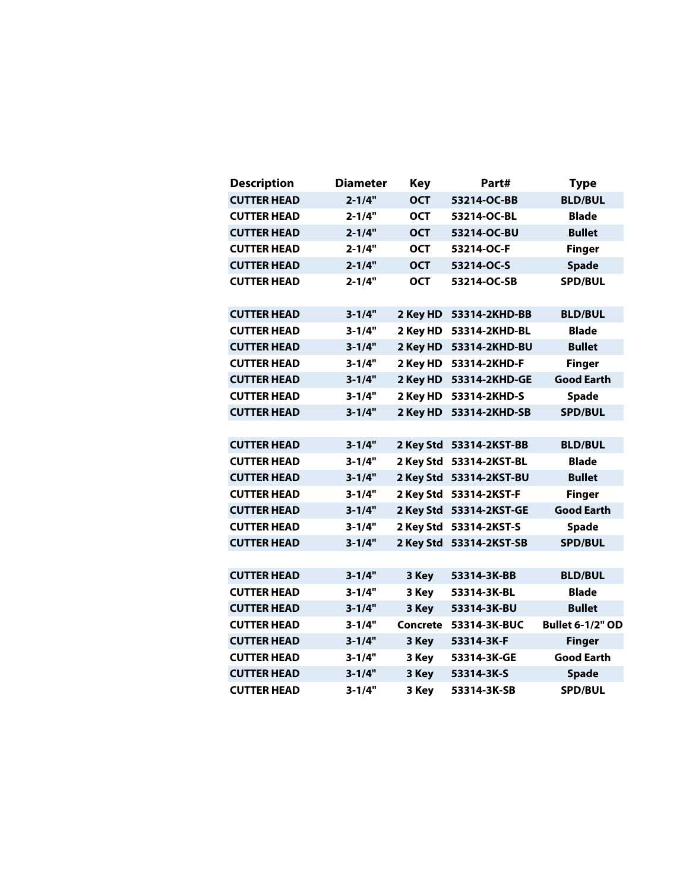N&N Drilling Supply Mfr. . (800) 334-4927

| <b>Description</b> | <b>Diameter</b> | Key             | Part#         | <b>Type</b>             |
|--------------------|-----------------|-----------------|---------------|-------------------------|
| <b>CUTTER HEAD</b> | $2 - 1/4"$      | <b>OCT</b>      | 53214-OC-BB   | <b>BLD/BUL</b>          |
| <b>CUTTER HEAD</b> | $2 - 1/4"$      | ост             | 53214-OC-BL   | <b>Blade</b>            |
| <b>CUTTER HEAD</b> | $2 - 1/4"$      | <b>OCT</b>      | 53214-OC-BU   | <b>Bullet</b>           |
| <b>CUTTER HEAD</b> | $2 - 1/4"$      | <b>OCT</b>      | 53214-OC-F    | <b>Finger</b>           |
| <b>CUTTER HEAD</b> | $2 - 1/4"$      | ОСТ             | 53214-OC-S    | <b>Spade</b>            |
| <b>CUTTER HEAD</b> | $2 - 1/4"$      | ост             | 53214-OC-SB   | SPD/BUL                 |
| <b>CUTTER HEAD</b> | $3 - 1/4"$      | 2 Key HD        | 53314-2KHD-BB | <b>BLD/BUL</b>          |
| <b>CUTTER HEAD</b> | $3 - 1/4"$      | 2 Key HD        | 53314-2KHD-BL | <b>Blade</b>            |
| <b>CUTTER HEAD</b> | $3 - 1/4"$      | 2 Key HD        | 53314-2KHD-BU | <b>Bullet</b>           |
| <b>CUTTER HEAD</b> | $3 - 1/4"$      | 2 Key HD        | 53314-2KHD-F  | <b>Finger</b>           |
| <b>CUTTER HEAD</b> | $3 - 1/4"$      | 2 Key HD        | 53314-2KHD-GE | <b>Good Earth</b>       |
| <b>CUTTER HEAD</b> | $3 - 1/4"$      | 2 Key HD        | 53314-2KHD-S  | <b>Spade</b>            |
| <b>CUTTER HEAD</b> | $3 - 1/4"$      | 2 Key HD        | 53314-2KHD-SB | <b>SPD/BUL</b>          |
|                    |                 |                 |               |                         |
| <b>CUTTER HEAD</b> | $3 - 1/4"$      | 2 Key Std       | 53314-2KST-BB | <b>BLD/BUL</b>          |
| <b>CUTTER HEAD</b> | $3 - 1/4"$      | 2 Key Std       | 53314-2KST-BL | <b>Blade</b>            |
| <b>CUTTER HEAD</b> | $3 - 1/4"$      | 2 Key Std       | 53314-2KST-BU | <b>Bullet</b>           |
| <b>CUTTER HEAD</b> | $3 - 1/4"$      | 2 Key Std       | 53314-2KST-F  | <b>Finger</b>           |
| <b>CUTTER HEAD</b> | $3 - 1/4"$      | 2 Key Std       | 53314-2KST-GE | <b>Good Earth</b>       |
| <b>CUTTER HEAD</b> | $3 - 1/4"$      | 2 Key Std       | 53314-2KST-S  | Spade                   |
| <b>CUTTER HEAD</b> | $3 - 1/4"$      | 2 Key Std       | 53314-2KST-SB | <b>SPD/BUL</b>          |
|                    |                 |                 |               |                         |
| <b>CUTTER HEAD</b> | $3 - 1/4"$      | 3 Key           | 53314-3K-BB   | <b>BLD/BUL</b>          |
| <b>CUTTER HEAD</b> | $3 - 1/4"$      | 3 Key           | 53314-3K-BL   | <b>Blade</b>            |
| <b>CUTTER HEAD</b> | $3 - 1/4"$      | 3 Key           | 53314-3K-BU   | <b>Bullet</b>           |
| <b>CUTTER HEAD</b> | $3 - 1/4"$      | <b>Concrete</b> | 53314-3K-BUC  | <b>Bullet 6-1/2" OD</b> |
| <b>CUTTER HEAD</b> | $3 - 1/4"$      | 3 Key           | 53314-3K-F    | <b>Finger</b>           |
| <b>CUTTER HEAD</b> | $3 - 1/4"$      | 3 Key           | 53314-3K-GE   | <b>Good Earth</b>       |
| <b>CUTTER HEAD</b> | $3 - 1/4"$      | 3 Key           | 53314-3K-S    | <b>Spade</b>            |
| <b>CUTTER HEAD</b> | $3 - 1/4"$      | 3 Kev           | 53314-3K-SB   | <b>SPD/BUL</b>          |

Under N&N Drilling's Total Quality Management program, we reserve the right to modify design and materials without prior notice.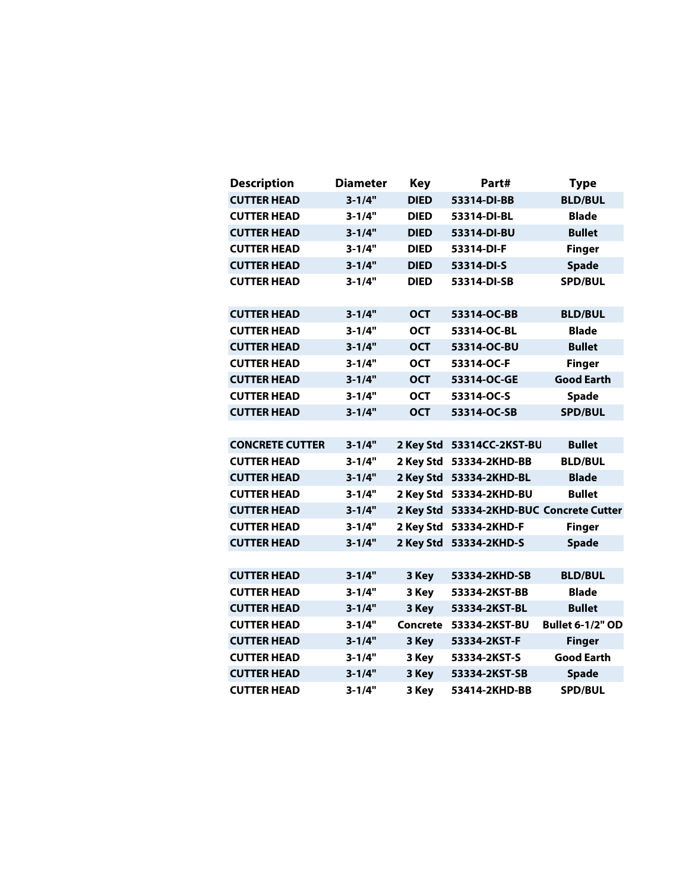N&N Drilling Supply Mfr. . (800) 334-4927

| <b>Description</b>     | <b>Diameter</b> | <b>Key</b>      | Part#                          | <b>Type</b>             |
|------------------------|-----------------|-----------------|--------------------------------|-------------------------|
| <b>CUTTER HEAD</b>     | $3 - 1/4"$      | <b>DIED</b>     | 53314-DI-BB                    | <b>BLD/BUL</b>          |
| <b>CUTTER HEAD</b>     | $3 - 1/4"$      | <b>DIED</b>     | 53314-DI-BL                    | <b>Blade</b>            |
| <b>CUTTER HEAD</b>     | $3 - 1/4"$      | <b>DIED</b>     | 53314-DI-BU                    | <b>Bullet</b>           |
| <b>CUTTER HEAD</b>     | $3 - 1/4"$      | <b>DIED</b>     | 53314-DI-F                     | <b>Finger</b>           |
| <b>CUTTER HEAD</b>     | $3 - 1/4"$      | <b>DIED</b>     | 53314-DI-S                     | <b>Spade</b>            |
| <b>CUTTER HEAD</b>     | $3 - 1/4"$      | <b>DIED</b>     | 53314-DI-SB                    | <b>SPD/BUL</b>          |
| <b>CUTTER HEAD</b>     | $3 - 1/4"$      | <b>OCT</b>      | 53314-OC-BB                    | <b>BLD/BUL</b>          |
| <b>CUTTER HEAD</b>     | $3 - 1/4"$      | <b>OCT</b>      | 53314-OC-BL                    | <b>Blade</b>            |
| <b>CUTTER HEAD</b>     | $3 - 1/4"$      | <b>OCT</b>      | 53314-OC-BU                    | <b>Bullet</b>           |
| <b>CUTTER HEAD</b>     | $3 - 1/4"$      | <b>OCT</b>      | 53314-OC-F                     | <b>Finger</b>           |
| <b>CUTTER HEAD</b>     | $3 - 1/4"$      | <b>OCT</b>      | 53314-OC-GE                    | <b>Good Earth</b>       |
| <b>CUTTER HEAD</b>     | $3 - 1/4"$      | <b>OCT</b>      | 53314-OC-S                     | <b>Spade</b>            |
| <b>CUTTER HEAD</b>     | $3 - 1/4"$      | <b>OCT</b>      | 53314-OC-SB                    | <b>SPD/BUL</b>          |
|                        |                 |                 |                                |                         |
| <b>CONCRETE CUTTER</b> | $3 - 1/4"$      | 2 Key Std       | 53314CC-2KST-BU                | <b>Bullet</b>           |
| <b>CUTTER HEAD</b>     | $3 - 1/4"$      | 2 Key Std       | 53334-2KHD-BB                  | <b>BLD/BUL</b>          |
| <b>CUTTER HEAD</b>     | $3 - 1/4"$      | 2 Key Std       | 53334-2KHD-BL                  | <b>Blade</b>            |
| <b>CUTTER HEAD</b>     | $3 - 1/4"$      |                 | 2 Key Std 53334-2KHD-BU        | <b>Bullet</b>           |
| <b>CUTTER HEAD</b>     | $3 - 1/4"$      | 2 Key Std       | 53334-2KHD-BUC Concrete Cutter |                         |
| <b>CUTTER HEAD</b>     | $3 - 1/4"$      | 2 Key Std       | 53334-2KHD-F                   | <b>Finger</b>           |
| <b>CUTTER HEAD</b>     | $3 - 1/4"$      | 2 Key Std       | 53334-2KHD-S                   | <b>Spade</b>            |
|                        |                 |                 |                                |                         |
| <b>CUTTER HEAD</b>     | $3 - 1/4"$      | 3 Key           | 53334-2KHD-SB                  | <b>BLD/BUL</b>          |
| <b>CUTTER HEAD</b>     | $3 - 1/4"$      | 3 Key           | 53334-2KST-BB                  | <b>Blade</b>            |
| <b>CUTTER HEAD</b>     | $3 - 1/4"$      | 3 Key           | 53334-2KST-BL                  | <b>Bullet</b>           |
| <b>CUTTER HEAD</b>     | $3 - 1/4"$      | <b>Concrete</b> | 53334-2KST-BU                  | <b>Bullet 6-1/2" OD</b> |
| <b>CUTTER HEAD</b>     | $3 - 1/4"$      | 3 Key           | 53334-2KST-F                   | <b>Finger</b>           |
| <b>CUTTER HEAD</b>     | $3 - 1/4"$      | 3 Key           | 53334-2KST-S                   | <b>Good Earth</b>       |
| <b>CUTTER HEAD</b>     | $3 - 1/4"$      | 3 Key           | 53334-2KST-SB                  | <b>Spade</b>            |
| <b>CUTTER HEAD</b>     | $3 - 1/4"$      | 3 Kev           | 53414-2KHD-BB                  | <b>SPD/BUL</b>          |

Under N&N Drilling's Total Quality Management program, we reserve the right to modify design and materials without prior notice.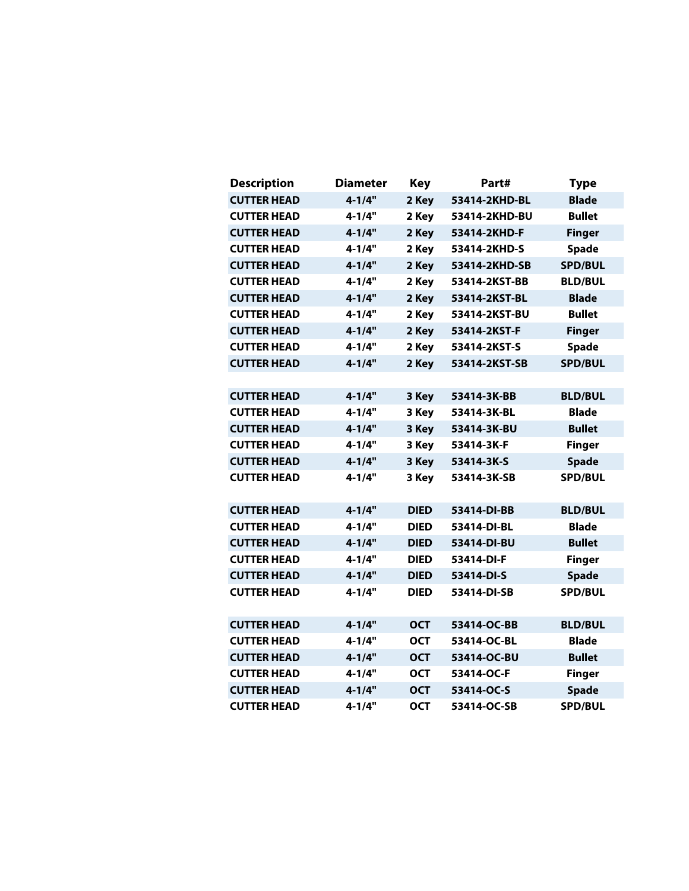N&N Drilling Supply Mfr. . (800) 334-4927

| <b>Description</b> | <b>Diameter</b> | <b>Key</b>  | Part#         | <b>Type</b>    |
|--------------------|-----------------|-------------|---------------|----------------|
| <b>CUTTER HEAD</b> | $4 - 1/4"$      | 2 Key       | 53414-2KHD-BL | <b>Blade</b>   |
| <b>CUTTER HEAD</b> | 4-1/4"          | 2 Key       | 53414-2KHD-BU | <b>Bullet</b>  |
| <b>CUTTER HEAD</b> | $4 - 1/4"$      | 2 Key       | 53414-2KHD-F  | <b>Finger</b>  |
| <b>CUTTER HEAD</b> | $4 - 1/4"$      | 2 Key       | 53414-2KHD-S  | <b>Spade</b>   |
| <b>CUTTER HEAD</b> | $4 - 1/4"$      | 2 Key       | 53414-2KHD-SB | <b>SPD/BUL</b> |
| <b>CUTTER HEAD</b> | $4 - 1/4"$      | 2 Key       | 53414-2KST-BB | <b>BLD/BUL</b> |
| <b>CUTTER HEAD</b> | $4 - 1/4"$      | 2 Key       | 53414-2KST-BL | <b>Blade</b>   |
| <b>CUTTER HEAD</b> | $4 - 1/4"$      | 2 Key       | 53414-2KST-BU | <b>Bullet</b>  |
| <b>CUTTER HEAD</b> | $4 - 1/4"$      | 2 Key       | 53414-2KST-F  | <b>Finger</b>  |
| <b>CUTTER HEAD</b> | $4 - 1/4"$      | 2 Key       | 53414-2KST-S  | <b>Spade</b>   |
| <b>CUTTER HEAD</b> | $4 - 1/4"$      | 2 Key       | 53414-2KST-SB | <b>SPD/BUL</b> |
|                    |                 |             |               |                |
| <b>CUTTER HEAD</b> | $4 - 1/4"$      | 3 Key       | 53414-3K-BB   | <b>BLD/BUL</b> |
| <b>CUTTER HEAD</b> | $4 - 1/4"$      | 3 Key       | 53414-3K-BL   | <b>Blade</b>   |
| <b>CUTTER HEAD</b> | $4 - 1/4"$      | 3 Key       | 53414-3K-BU   | <b>Bullet</b>  |
| <b>CUTTER HEAD</b> | $4 - 1/4"$      | 3 Key       | 53414-3K-F    | <b>Finger</b>  |
| <b>CUTTER HEAD</b> | $4 - 1/4"$      | 3 Key       | 53414-3K-S    | <b>Spade</b>   |
| <b>CUTTER HEAD</b> | $4 - 1/4"$      | 3 Key       | 53414-3K-SB   | SPD/BUL        |
|                    |                 |             |               |                |
| <b>CUTTER HEAD</b> | $4 - 1/4"$      | <b>DIED</b> | 53414-DI-BB   | <b>BLD/BUL</b> |
| <b>CUTTER HEAD</b> | $4 - 1/4"$      | <b>DIED</b> | 53414-DI-BL   | <b>Blade</b>   |
| <b>CUTTER HEAD</b> | $4 - 1/4"$      | <b>DIED</b> | 53414-DI-BU   | <b>Bullet</b>  |
| <b>CUTTER HEAD</b> | $4 - 1/4"$      | <b>DIED</b> | 53414-DI-F    | <b>Finger</b>  |
| <b>CUTTER HEAD</b> | $4 - 1/4"$      | <b>DIED</b> | 53414-DI-S    | <b>Spade</b>   |
| <b>CUTTER HEAD</b> | $4 - 1/4"$      | <b>DIED</b> | 53414-DI-SB   | SPD/BUL        |
|                    |                 |             |               |                |
| <b>CUTTER HEAD</b> | $4 - 1/4"$      | <b>OCT</b>  | 53414-OC-BB   | <b>BLD/BUL</b> |
| <b>CUTTER HEAD</b> | 4-1/4"          | <b>OCT</b>  | 53414-OC-BL   | <b>Blade</b>   |
| <b>CUTTER HEAD</b> | $4 - 1/4"$      | OCT         | 53414-OC-BU   | <b>Bullet</b>  |
| <b>CUTTER HEAD</b> | $4 - 1/4"$      | OCT         | 53414-OC-F    | <b>Finger</b>  |
| <b>CUTTER HEAD</b> | $4 - 1/4"$      | <b>OCT</b>  | 53414-OC-S    | <b>Spade</b>   |
| <b>CUTTER HEAD</b> | $4 - 1/4"$      | <b>OCT</b>  | 53414-OC-SB   | <b>SPD/BUL</b> |

Under N&N Drilling's Total Quality Management program, we reserve the right to modify design and materials without prior notice.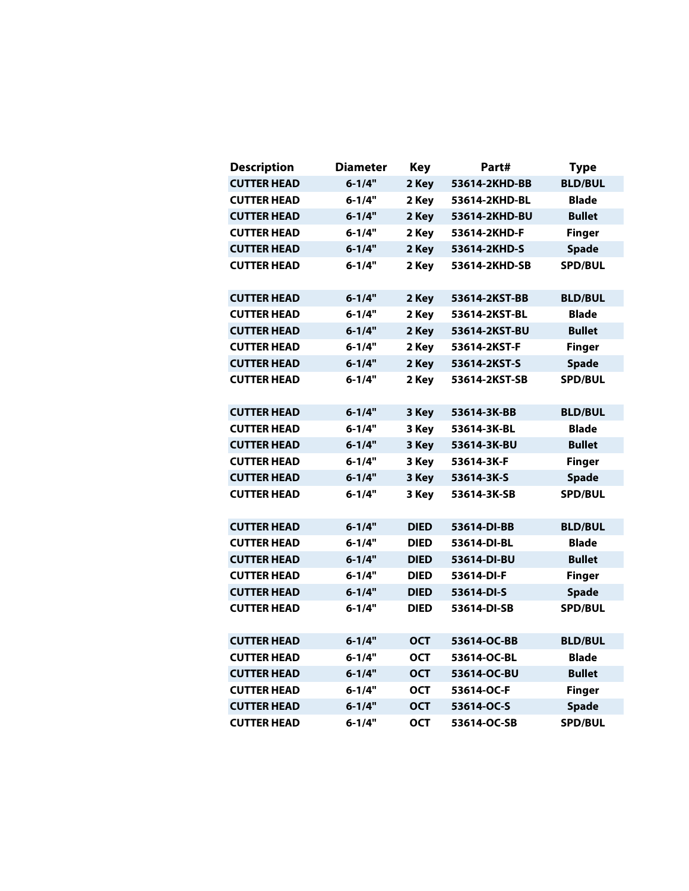N&N Drilling Supply Mfr. . (800) 334-4927

| <b>Description</b> | <b>Diameter</b> | <b>Key</b>  | Part#         | <b>Type</b>    |
|--------------------|-----------------|-------------|---------------|----------------|
| <b>CUTTER HEAD</b> | $6 - 1/4"$      | 2 Key       | 53614-2KHD-BB | <b>BLD/BUL</b> |
| <b>CUTTER HEAD</b> | 6-1/4"          | 2 Key       | 53614-2KHD-BL | <b>Blade</b>   |
| <b>CUTTER HEAD</b> | $6 - 1/4"$      | 2 Key       | 53614-2KHD-BU | <b>Bullet</b>  |
| <b>CUTTER HEAD</b> | $6 - 1/4"$      | 2 Key       | 53614-2KHD-F  | <b>Finger</b>  |
| <b>CUTTER HEAD</b> | $6 - 1/4"$      | 2 Key       | 53614-2KHD-S  | <b>Spade</b>   |
| <b>CUTTER HEAD</b> | 6-1/4"          | 2 Key       | 53614-2KHD-SB | <b>SPD/BUL</b> |
| <b>CUTTER HEAD</b> | $6 - 1/4"$      | 2 Key       | 53614-2KST-BB | <b>BLD/BUL</b> |
| <b>CUTTER HEAD</b> | $6 - 1/4"$      | 2 Key       | 53614-2KST-BL | <b>Blade</b>   |
| <b>CUTTER HEAD</b> | $6 - 1/4"$      | 2 Key       | 53614-2KST-BU | <b>Bullet</b>  |
| <b>CUTTER HEAD</b> | 6-1/4"          | 2 Key       | 53614-2KST-F  | <b>Finger</b>  |
| <b>CUTTER HEAD</b> | $6 - 1/4"$      | 2 Key       | 53614-2KST-S  | <b>Spade</b>   |
| <b>CUTTER HEAD</b> | $6 - 1/4"$      | 2 Key       | 53614-2KST-SB | <b>SPD/BUL</b> |
| <b>CUTTER HEAD</b> | $6 - 1/4"$      | 3 Key       | 53614-3K-BB   | <b>BLD/BUL</b> |
| <b>CUTTER HEAD</b> | 6-1/4"          | 3 Key       | 53614-3K-BL   | <b>Blade</b>   |
| <b>CUTTER HEAD</b> | $6 - 1/4"$      | 3 Key       | 53614-3K-BU   | <b>Bullet</b>  |
| <b>CUTTER HEAD</b> | 6-1/4"          | 3 Key       | 53614-3K-F    | <b>Finger</b>  |
| <b>CUTTER HEAD</b> | $6 - 1/4"$      | 3 Key       | 53614-3K-S    | <b>Spade</b>   |
| <b>CUTTER HEAD</b> | $6 - 1/4"$      | 3 Key       | 53614-3K-SB   | <b>SPD/BUL</b> |
| <b>CUTTER HEAD</b> | $6 - 1/4"$      | DIED        | 53614-DI-BB   | <b>BLD/BUL</b> |
| <b>CUTTER HEAD</b> | $6 - 1/4"$      | DIED        | 53614-DI-BL   | <b>Blade</b>   |
| <b>CUTTER HEAD</b> | $6 - 1/4"$      | <b>DIED</b> | 53614-DI-BU   | <b>Bullet</b>  |
| <b>CUTTER HEAD</b> | $6 - 1/4"$      | <b>DIED</b> | 53614-DI-F    | <b>Finger</b>  |
| <b>CUTTER HEAD</b> | $6 - 1/4"$      | <b>DIED</b> | 53614-DI-S    | <b>Spade</b>   |
| <b>CUTTER HEAD</b> | 6-1/4"          | <b>DIED</b> | 53614-DI-SB   | <b>SPD/BUL</b> |
| <b>CUTTER HEAD</b> | $6 - 1/4"$      | <b>OCT</b>  | 53614-OC-BB   | <b>BLD/BUL</b> |
| <b>CUTTER HEAD</b> | $6 - 1/4"$      | ост         | 53614-OC-BL   | <b>Blade</b>   |
| <b>CUTTER HEAD</b> | $6 - 1/4"$      | <b>OCT</b>  | 53614-OC-BU   | <b>Bullet</b>  |
| <b>CUTTER HEAD</b> | $6 - 1/4"$      | ОСТ         | 53614-OC-F    | <b>Finger</b>  |
| <b>CUTTER HEAD</b> | $6 - 1/4"$      | <b>OCT</b>  | 53614-OC-S    | <b>Spade</b>   |
| <b>CUTTER HEAD</b> | $6 - 1/4"$      | ост         | 53614-OC-SB   | <b>SPD/BUL</b> |

Under N&N Drilling's Total Quality Management program, we reserve the right to modify design and materials without prior notice.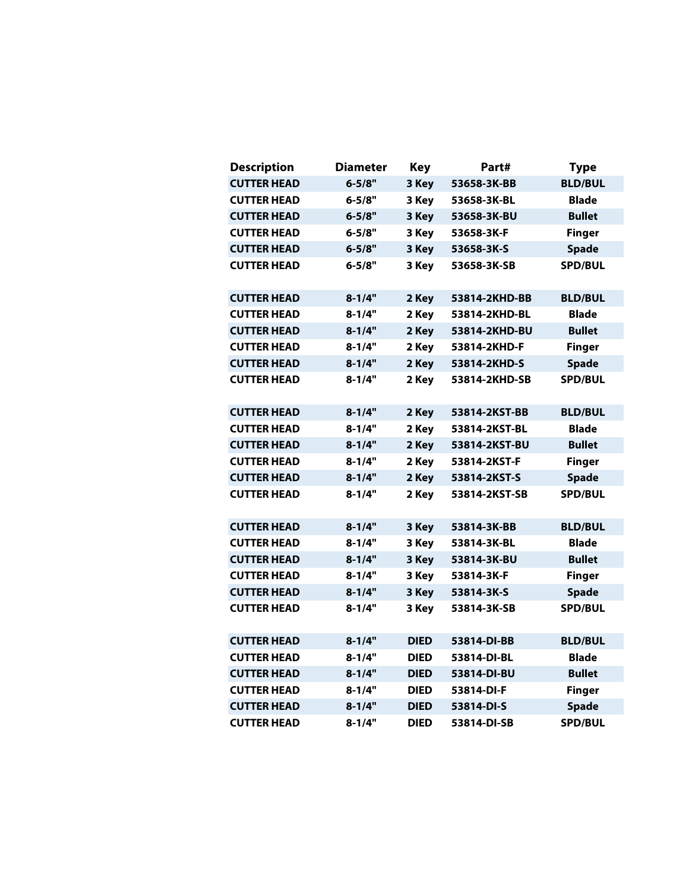N&N Drilling Supply Mfr. . (800) 334-4927

| <b>Description</b> | <b>Diameter</b> | <b>Key</b>  | Part#         | <b>Type</b>    |
|--------------------|-----------------|-------------|---------------|----------------|
| <b>CUTTER HEAD</b> | $6 - 5/8"$      | 3 Key       | 53658-3K-BB   | <b>BLD/BUL</b> |
| <b>CUTTER HEAD</b> | $6 - 5/8"$      | 3 Key       | 53658-3K-BL   | <b>Blade</b>   |
| <b>CUTTER HEAD</b> | $6 - 5/8"$      | 3 Key       | 53658-3K-BU   | <b>Bullet</b>  |
| <b>CUTTER HEAD</b> | $6 - 5/8"$      | 3 Key       | 53658-3K-F    | <b>Finger</b>  |
| <b>CUTTER HEAD</b> | $6 - 5/8"$      | 3 Key       | 53658-3K-S    | <b>Spade</b>   |
| <b>CUTTER HEAD</b> | $6 - 5/8"$      | 3 Key       | 53658-3K-SB   | <b>SPD/BUL</b> |
| <b>CUTTER HEAD</b> | $8 - 1/4"$      | 2 Key       | 53814-2KHD-BB | <b>BLD/BUL</b> |
| <b>CUTTER HEAD</b> | $8 - 1/4"$      | 2 Key       | 53814-2KHD-BL | <b>Blade</b>   |
| <b>CUTTER HEAD</b> | $8 - 1/4"$      | 2 Key       | 53814-2KHD-BU | <b>Bullet</b>  |
| <b>CUTTER HEAD</b> | $8 - 1/4"$      | 2 Key       | 53814-2KHD-F  | <b>Finger</b>  |
| <b>CUTTER HEAD</b> | $8 - 1/4"$      | 2 Key       | 53814-2KHD-S  | <b>Spade</b>   |
| <b>CUTTER HEAD</b> | $8 - 1/4"$      | 2 Key       | 53814-2KHD-SB | <b>SPD/BUL</b> |
| <b>CUTTER HEAD</b> | $8 - 1/4"$      | 2 Key       | 53814-2KST-BB | <b>BLD/BUL</b> |
| <b>CUTTER HEAD</b> | $8 - 1/4"$      | 2 Key       | 53814-2KST-BL | <b>Blade</b>   |
| <b>CUTTER HEAD</b> | $8 - 1/4"$      | 2 Key       | 53814-2KST-BU | <b>Bullet</b>  |
| <b>CUTTER HEAD</b> | $8 - 1/4"$      | 2 Key       | 53814-2KST-F  | <b>Finger</b>  |
| <b>CUTTER HEAD</b> | $8 - 1/4"$      | 2 Key       | 53814-2KST-S  | <b>Spade</b>   |
| <b>CUTTER HEAD</b> | $8 - 1/4"$      | 2 Key       | 53814-2KST-SB | <b>SPD/BUL</b> |
| <b>CUTTER HEAD</b> | $8 - 1/4"$      | 3 Key       | 53814-3K-BB   | <b>BLD/BUL</b> |
| <b>CUTTER HEAD</b> | $8 - 1/4"$      | 3 Key       | 53814-3K-BL   | <b>Blade</b>   |
| <b>CUTTER HEAD</b> | $8 - 1/4"$      | 3 Key       | 53814-3K-BU   | <b>Bullet</b>  |
| <b>CUTTER HEAD</b> | $8 - 1/4"$      | 3 Key       | 53814-3K-F    | <b>Finger</b>  |
| <b>CUTTER HEAD</b> | $8 - 1/4"$      | 3 Key       | 53814-3K-S    | <b>Spade</b>   |
| <b>CUTTER HEAD</b> | $8 - 1/4"$      | 3 Key       | 53814-3K-SB   | <b>SPD/BUL</b> |
| <b>CUTTER HEAD</b> | $8 - 1/4"$      | <b>DIED</b> | 53814-DI-BB   | <b>BLD/BUL</b> |
| <b>CUTTER HEAD</b> | $8 - 1/4"$      | <b>DIED</b> | 53814-DI-BL   | <b>Blade</b>   |
| <b>CUTTER HEAD</b> | $8 - 1/4"$      | <b>DIED</b> | 53814-DI-BU   | <b>Bullet</b>  |
| <b>CUTTER HEAD</b> | $8 - 1/4"$      | <b>DIED</b> | 53814-DI-F    | <b>Finger</b>  |
| <b>CUTTER HEAD</b> | $8 - 1/4"$      | <b>DIED</b> | 53814-DI-S    | <b>Spade</b>   |
| <b>CUTTER HEAD</b> | $8 - 1/4"$      | <b>DIED</b> | 53814-DI-SB   | <b>SPD/BUL</b> |

Under N&N Drilling's Total Quality Management program, we reserve the right to modify design and materials without prior notice.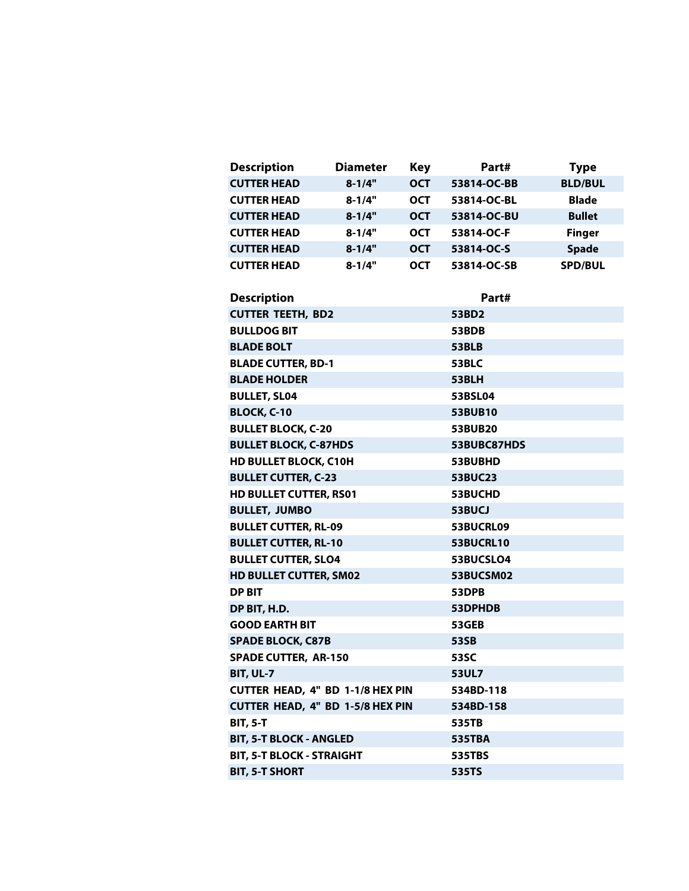# N&N Drilling Supply Mfr. . (800) 334-4927

| <b>Description</b>                      | <b>Diameter</b> | Key        | Part#         | <b>Type</b>    |
|-----------------------------------------|-----------------|------------|---------------|----------------|
| <b>CUTTER HEAD</b>                      | $8 - 1/4"$      | <b>OCT</b> | 53814-OC-BB   | <b>BLD/BUL</b> |
| <b>CUTTER HEAD</b>                      | $8 - 1/4"$      | <b>OCT</b> | 53814-OC-BL   | <b>Blade</b>   |
| <b>CUTTER HEAD</b>                      | $8 - 1/4"$      | <b>OCT</b> | 53814-OC-BU   | <b>Bullet</b>  |
| <b>CUTTER HEAD</b>                      | $8 - 1/4"$      | OCT        | 53814-OC-F    | <b>Finger</b>  |
| <b>CUTTER HEAD</b>                      | $8 - 1/4"$      | <b>OCT</b> | 53814-OC-S    | <b>Spade</b>   |
| <b>CUTTER HEAD</b>                      | $8 - 1/4"$      | <b>OCT</b> | 53814-OC-SB   | SPD/BUL        |
|                                         |                 |            |               |                |
| <b>Description</b>                      |                 |            | Part#         |                |
| <b>CUTTER TEETH, BD2</b>                |                 |            | 53BD2         |                |
| <b>BULLDOG BIT</b>                      |                 |            | 53BDB         |                |
| <b>BLADE BOLT</b>                       |                 |            | 53BLB         |                |
| <b>BLADE CUTTER, BD-1</b>               |                 |            | 53BLC         |                |
| <b>BLADE HOLDER</b>                     |                 |            | 53BLH         |                |
| <b>BULLET, SL04</b>                     |                 |            | 53BSL04       |                |
| <b>BLOCK, C-10</b>                      |                 |            | 53BUB10       |                |
| <b>BULLET BLOCK, C-20</b>               |                 |            | 53BUB20       |                |
| <b>BULLET BLOCK, C-87HDS</b>            |                 |            | 53BUBC87HDS   |                |
| HD BULLET BLOCK, C10H                   |                 |            | 53BUBHD       |                |
| <b>BULLET CUTTER, C-23</b>              |                 |            | 53BUC23       |                |
| <b>HD BULLET CUTTER, RS01</b>           |                 |            | 53BUCHD       |                |
| <b>BULLET, JUMBO</b>                    |                 |            | 53BUCJ        |                |
| <b>BULLET CUTTER, RL-09</b>             |                 |            | 53BUCRL09     |                |
| <b>BULLET CUTTER, RL-10</b>             |                 |            | 53BUCRL10     |                |
| <b>BULLET CUTTER, SLO4</b>              |                 |            | 53BUCSLO4     |                |
| <b>HD BULLET CUTTER, SM02</b>           |                 |            | 53BUCSM02     |                |
| <b>DP BIT</b>                           |                 |            | 53DPB         |                |
| DP BIT, H.D.                            |                 |            | 53DPHDB       |                |
| <b>GOOD EARTH BIT</b>                   |                 |            | 53GEB         |                |
| <b>SPADE BLOCK, C87B</b>                |                 |            | 53SB          |                |
| <b>SPADE CUTTER, AR-150</b>             |                 |            | 53SC          |                |
| <b>BIT, UL-7</b>                        |                 |            | 53UL7         |                |
| CUTTER HEAD, 4" BD 1-1/8 HEX PIN        |                 |            | 534BD-118     |                |
| <b>CUTTER HEAD, 4" BD 1-5/8 HEX PIN</b> |                 |            | 534BD-158     |                |
| <b>BIT, 5-T</b>                         |                 |            | 535TB         |                |
| <b>BIT, 5-T BLOCK - ANGLED</b>          |                 |            | <b>535TBA</b> |                |
| <b>BIT, 5-T BLOCK - STRAIGHT</b>        |                 |            | 535TBS        |                |
| <b>BIT, 5-T SHORT</b>                   |                 |            | 535TS         |                |

Under N&N Drilling's Total Quality Management program, we reserve the right to modify design and materials without prior notice.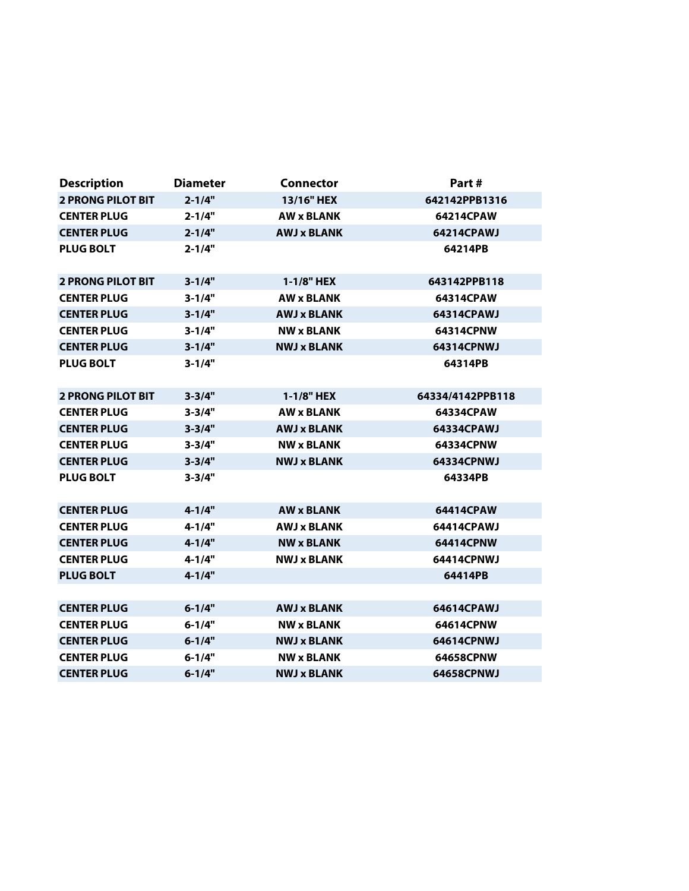# N&N Drilling Supply Mfr. . (800) 334-4927

| <b>Description</b>       | <b>Diameter</b> | Connector          | Part#            |
|--------------------------|-----------------|--------------------|------------------|
| <b>2 PRONG PILOT BIT</b> | $2 - 1/4"$      | 13/16" HEX         | 642142PPB1316    |
| <b>CENTER PLUG</b>       | $2 - 1/4"$      | <b>AW x BLANK</b>  | 64214CPAW        |
| <b>CENTER PLUG</b>       | $2 - 1/4"$      | <b>AWJ x BLANK</b> | 64214CPAWJ       |
| <b>PLUG BOLT</b>         | $2 - 1/4"$      |                    | 64214PB          |
| <b>2 PRONG PILOT BIT</b> | $3 - 1/4"$      | 1-1/8" HEX         | 643142PPB118     |
| <b>CENTER PLUG</b>       | $3 - 1/4"$      | <b>AW x BLANK</b>  | 64314CPAW        |
| <b>CENTER PLUG</b>       | $3 - 1/4"$      | <b>AWJ x BLANK</b> | 64314CPAWJ       |
| <b>CENTER PLUG</b>       | $3 - 1/4"$      | <b>NW x BLANK</b>  | 64314CPNW        |
| <b>CENTER PLUG</b>       | $3 - 1/4"$      | <b>NWJ x BLANK</b> | 64314CPNWJ       |
| <b>PLUG BOLT</b>         | $3 - 1/4"$      |                    | 64314PB          |
| <b>2 PRONG PILOT BIT</b> | $3 - 3/4"$      | 1-1/8" HEX         | 64334/4142PPB118 |
| <b>CENTER PLUG</b>       | $3 - 3/4"$      | <b>AW x BLANK</b>  | 64334CPAW        |
| <b>CENTER PLUG</b>       | $3 - 3/4"$      | <b>AWJ x BLANK</b> | 64334CPAWJ       |
| <b>CENTER PLUG</b>       | $3 - 3/4"$      | <b>NW x BLANK</b>  | 64334CPNW        |
| <b>CENTER PLUG</b>       | $3 - 3/4"$      | <b>NWJ x BLANK</b> | 64334CPNWJ       |
| <b>PLUG BOLT</b>         | $3 - 3/4"$      |                    | 64334PB          |
| <b>CENTER PLUG</b>       | $4 - 1/4"$      | AW x BLANK         | 64414CPAW        |
| <b>CENTER PLUG</b>       | $4 - 1/4"$      | <b>AWJ x BLANK</b> | 64414CPAWJ       |
| <b>CENTER PLUG</b>       | $4 - 1/4"$      | <b>NW x BLANK</b>  | 64414CPNW        |
| <b>CENTER PLUG</b>       | $4 - 1/4"$      | <b>NWJ x BLANK</b> | 64414CPNWJ       |
| <b>PLUG BOLT</b>         | $4 - 1/4"$      |                    | 64414PB          |
|                          |                 |                    |                  |
| <b>CENTER PLUG</b>       | $6 - 1/4"$      | <b>AWJ x BLANK</b> | 64614CPAWJ       |
| <b>CENTER PLUG</b>       | $6 - 1/4"$      | <b>NW x BLANK</b>  | 64614CPNW        |
| <b>CENTER PLUG</b>       | $6 - 1/4"$      | <b>NWJ x BLANK</b> | 64614CPNWJ       |
| <b>CENTER PLUG</b>       | $6 - 1/4"$      | <b>NW x BLANK</b>  | 64658CPNW        |
| <b>CENTER PLUG</b>       | $6 - 1/4"$      | <b>NWJ x BLANK</b> | 64658CPNWJ       |

Under N&N Drilling's Total Quality Management program, we reserve the right to modify design and materials without prior notice.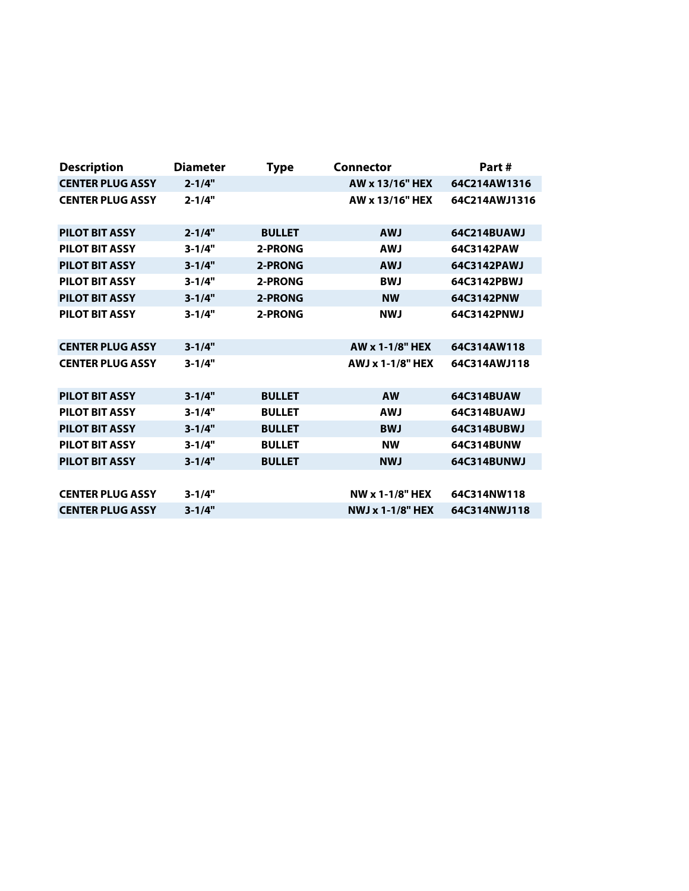### N&N Drilling Supply Mfr. . (800) 334-4927

| <b>Description</b>      | <b>Diameter</b> | <b>Type</b>   | Connector               | Part #        |
|-------------------------|-----------------|---------------|-------------------------|---------------|
| <b>CENTER PLUG ASSY</b> | $2 - 1/4"$      |               | AW x 13/16" HEX         | 64C214AW1316  |
| <b>CENTER PLUG ASSY</b> | $2 - 1/4"$      |               | AW x 13/16" HEX         | 64C214AWJ1316 |
| <b>PILOT BIT ASSY</b>   | $2 - 1/4"$      | <b>BULLET</b> | <b>AWJ</b>              | 64C214BUAWJ   |
| <b>PILOT BIT ASSY</b>   | $3 - 1/4"$      | 2-PRONG       | <b>AWJ</b>              | 64C3142PAW    |
| <b>PILOT BIT ASSY</b>   | $3 - 1/4"$      | 2-PRONG       | <b>AWJ</b>              | 64C3142PAWJ   |
| <b>PILOT BIT ASSY</b>   | $3 - 1/4"$      | 2-PRONG       | <b>BWJ</b>              | 64C3142PBWJ   |
| <b>PILOT BIT ASSY</b>   | $3 - 1/4"$      | 2-PRONG       | <b>NW</b>               | 64C3142PNW    |
| <b>PILOT BIT ASSY</b>   | $3 - 1/4"$      | 2-PRONG       | <b>NWJ</b>              | 64C3142PNWJ   |
| <b>CENTER PLUG ASSY</b> | $3 - 1/4"$      |               | AW x 1-1/8" HEX         | 64C314AW118   |
| <b>CENTER PLUG ASSY</b> | $3 - 1/4"$      |               | <b>AWJ x 1-1/8" HEX</b> | 64C314AWJ118  |
| <b>PILOT BIT ASSY</b>   | $3 - 1/4"$      | <b>BULLET</b> | <b>AW</b>               | 64C314BUAW    |
| <b>PILOT BIT ASSY</b>   | $3 - 1/4"$      | <b>BULLET</b> | <b>AWJ</b>              | 64C314BUAWJ   |
| <b>PILOT BIT ASSY</b>   | $3 - 1/4"$      | <b>BULLET</b> | <b>BWJ</b>              | 64C314BUBWJ   |
| <b>PILOT BIT ASSY</b>   | $3 - 1/4"$      | <b>BULLET</b> | <b>NW</b>               | 64C314BUNW    |
| <b>PILOT BIT ASSY</b>   | $3 - 1/4"$      | <b>BULLET</b> | <b>NWJ</b>              | 64C314BUNWJ   |
|                         |                 |               |                         |               |
| <b>CENTER PLUG ASSY</b> | $3 - 1/4"$      |               | NW x 1-1/8" HEX         | 64C314NW118   |
| <b>CENTER PLUG ASSY</b> | $3 - 1/4"$      |               | <b>NWJ x 1-1/8" HEX</b> | 64C314NWJ118  |

Under N&N Drilling's Total Quality Management program, we reserve the right to modify design and materials without prior notice.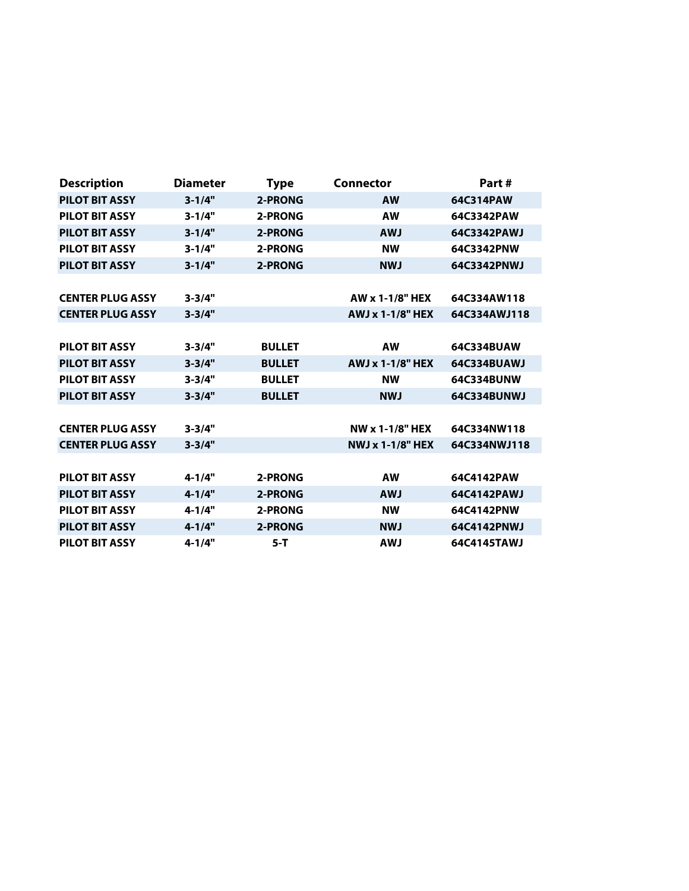# N&N Drilling Supply Mfr. . (800) 334-4927

| <b>Description</b>      | <b>Diameter</b> | <b>Type</b>   | Connector               | Part #       |
|-------------------------|-----------------|---------------|-------------------------|--------------|
| <b>PILOT BIT ASSY</b>   | $3 - 1/4"$      | 2-PRONG       | <b>AW</b>               | 64C314PAW    |
| <b>PILOT BIT ASSY</b>   | $3 - 1/4"$      | 2-PRONG       | <b>AW</b>               | 64C3342PAW   |
| <b>PILOT BIT ASSY</b>   | $3 - 1/4"$      | 2-PRONG       | <b>AWJ</b>              | 64C3342PAWJ  |
| <b>PILOT BIT ASSY</b>   | $3 - 1/4"$      | 2-PRONG       | <b>NW</b>               | 64C3342PNW   |
| <b>PILOT BIT ASSY</b>   | $3 - 1/4"$      | 2-PRONG       | <b>NWJ</b>              | 64C3342PNWJ  |
|                         |                 |               |                         |              |
| <b>CENTER PLUG ASSY</b> | $3 - 3/4"$      |               | AW x 1-1/8" HEX         | 64C334AW118  |
| <b>CENTER PLUG ASSY</b> | $3 - 3/4"$      |               | <b>AWJ x 1-1/8" HEX</b> | 64C334AWJ118 |
|                         |                 |               |                         |              |
| <b>PILOT BIT ASSY</b>   | $3 - 3/4"$      | <b>BULLET</b> | <b>AW</b>               | 64C334BUAW   |
| <b>PILOT BIT ASSY</b>   | $3 - 3/4"$      | <b>BULLET</b> | <b>AWJ x 1-1/8" HEX</b> | 64C334BUAWJ  |
| <b>PILOT BIT ASSY</b>   | $3 - 3/4"$      | <b>BULLET</b> | <b>NW</b>               | 64C334BUNW   |
| <b>PILOT BIT ASSY</b>   | $3 - 3/4"$      | <b>BULLET</b> | <b>NWJ</b>              | 64C334BUNWJ  |
|                         |                 |               |                         |              |
| <b>CENTER PLUG ASSY</b> | $3 - 3/4"$      |               | NW x 1-1/8" HEX         | 64C334NW118  |
| <b>CENTER PLUG ASSY</b> | $3 - 3/4"$      |               | <b>NWJ x 1-1/8" HEX</b> | 64C334NWJ118 |
|                         |                 |               |                         |              |
| <b>PILOT BIT ASSY</b>   | $4 - 1/4"$      | 2-PRONG       | AW                      | 64C4142PAW   |
| <b>PILOT BIT ASSY</b>   | $4 - 1/4"$      | 2-PRONG       | <b>AWJ</b>              | 64C4142PAWJ  |
| <b>PILOT BIT ASSY</b>   | $4 - 1/4"$      | 2-PRONG       | <b>NW</b>               | 64C4142PNW   |
| <b>PILOT BIT ASSY</b>   | $4 - 1/4"$      | 2-PRONG       | <b>NWJ</b>              | 64C4142PNWJ  |
| <b>PILOT BIT ASSY</b>   | $4 - 1/4"$      | 5-T           | <b>AWJ</b>              | 64C4145TAWJ  |

Under N&N Drilling's Total Quality Management program, we reserve the right to modify design and materials without prior notice.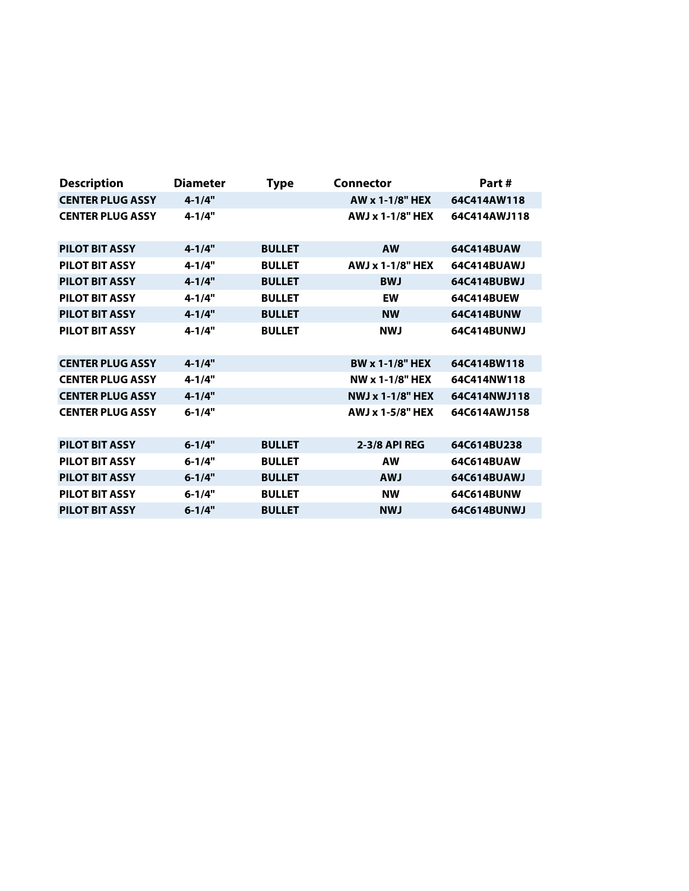# N&N Drilling Supply Mfr. . (800) 334-4927

| <b>Description</b>      | <b>Diameter</b> | <b>Type</b>   | Connector               | Part #       |
|-------------------------|-----------------|---------------|-------------------------|--------------|
| <b>CENTER PLUG ASSY</b> | $4 - 1/4"$      |               | AW x 1-1/8" HEX         | 64C414AW118  |
| <b>CENTER PLUG ASSY</b> | $4 - 1/4"$      |               | <b>AWJ x 1-1/8" HEX</b> | 64C414AWJ118 |
| <b>PILOT BIT ASSY</b>   | $4 - 1/4"$      | <b>BULLET</b> | <b>AW</b>               | 64C414BUAW   |
| <b>PILOT BIT ASSY</b>   | $4 - 1/4"$      | <b>BULLET</b> | <b>AWJ x 1-1/8" HEX</b> | 64C414BUAWJ  |
| <b>PILOT BIT ASSY</b>   | $4 - 1/4"$      | <b>BULLET</b> | <b>BWJ</b>              | 64C414BUBWJ  |
| <b>PILOT BIT ASSY</b>   | $4 - 1/4"$      | <b>BULLET</b> | EW                      | 64C414BUEW   |
| <b>PILOT BIT ASSY</b>   | $4 - 1/4"$      | <b>BULLET</b> | <b>NW</b>               | 64C414BUNW   |
| <b>PILOT BIT ASSY</b>   | $4 - 1/4"$      | <b>BULLET</b> | <b>NWJ</b>              | 64C414BUNWJ  |
| <b>CENTER PLUG ASSY</b> | $4 - 1/4"$      |               | <b>BW x 1-1/8" HEX</b>  | 64C414BW118  |
| <b>CENTER PLUG ASSY</b> | 4-1/4"          |               | NW x 1-1/8" HEX         | 64C414NW118  |
| <b>CENTER PLUG ASSY</b> | $4 - 1/4"$      |               | <b>NWJ x 1-1/8" HEX</b> | 64C414NWJ118 |
| <b>CENTER PLUG ASSY</b> | $6 - 1/4"$      |               | <b>AWJ x 1-5/8" HEX</b> | 64C614AWJ158 |
| <b>PILOT BIT ASSY</b>   | $6 - 1/4"$      | <b>BULLET</b> | 2-3/8 API REG           | 64C614BU238  |
| <b>PILOT BIT ASSY</b>   | $6 - 1/4"$      | <b>BULLET</b> | <b>AW</b>               | 64C614BUAW   |
| <b>PILOT BIT ASSY</b>   | $6 - 1/4"$      | <b>BULLET</b> | <b>AWJ</b>              | 64C614BUAWJ  |
| <b>PILOT BIT ASSY</b>   | $6 - 1/4"$      | <b>BULLET</b> | <b>NW</b>               | 64C614BUNW   |
| <b>PILOT BIT ASSY</b>   | $6 - 1/4"$      | <b>BULLET</b> | <b>NWJ</b>              | 64C614BUNWJ  |

Under N&N Drilling's Total Quality Management program, we reserve the right to modify design and materials without prior notice.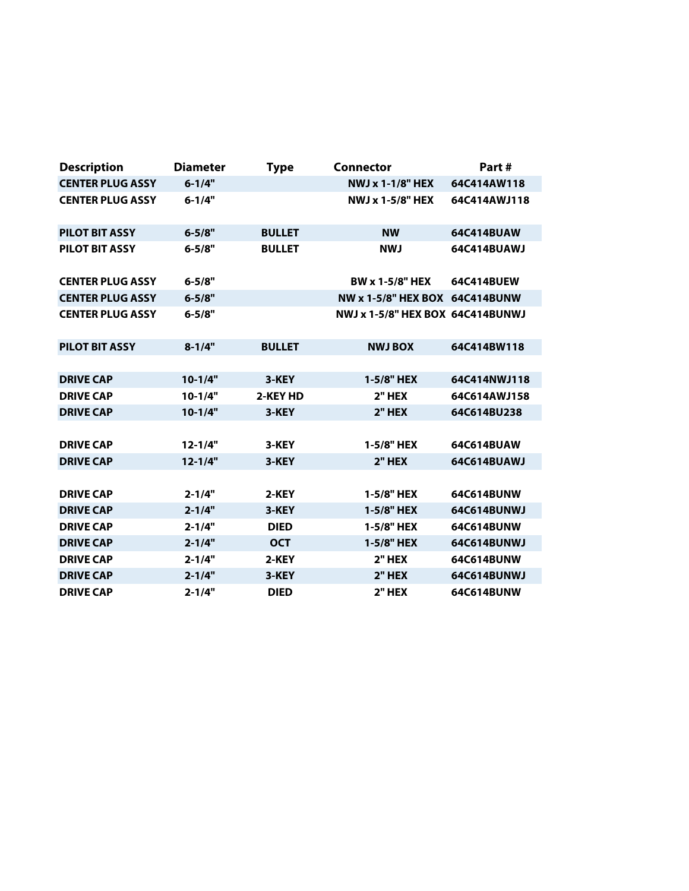# N&N Drilling Supply Mfr. . (800) 334-4927

| <b>Description</b>      | <b>Diameter</b> | <b>Type</b>   | <b>Connector</b>                 | Part #       |
|-------------------------|-----------------|---------------|----------------------------------|--------------|
| <b>CENTER PLUG ASSY</b> | $6 - 1/4"$      |               | <b>NWJ x 1-1/8" HEX</b>          | 64C414AW118  |
| <b>CENTER PLUG ASSY</b> | $6 - 1/4"$      |               | <b>NWJ x 1-5/8" HEX</b>          | 64C414AWJ118 |
| <b>PILOT BIT ASSY</b>   | $6 - 5/8"$      | <b>BULLET</b> | <b>NW</b>                        | 64C414BUAW   |
| <b>PILOT BIT ASSY</b>   | $6 - 5/8"$      | <b>BULLET</b> | <b>NWJ</b>                       | 64C414BUAWJ  |
| <b>CENTER PLUG ASSY</b> | $6 - 5/8"$      |               | <b>BW x 1-5/8" HEX</b>           | 64C414BUEW   |
| <b>CENTER PLUG ASSY</b> | $6 - 5/8"$      |               | NW x 1-5/8" HEX BOX 64C414BUNW   |              |
| <b>CENTER PLUG ASSY</b> | $6 - 5/8"$      |               | NWJ x 1-5/8" HEX BOX 64C414BUNWJ |              |
| <b>PILOT BIT ASSY</b>   | $8 - 1/4"$      | <b>BULLET</b> | <b>NWJ BOX</b>                   | 64C414BW118  |
|                         |                 |               |                                  |              |
| <b>DRIVE CAP</b>        | $10-1/4"$       | $3-KEY$       | 1-5/8" HEX                       | 64C414NWJ118 |
| <b>DRIVE CAP</b>        | $10 - 1/4"$     | 2-KEY HD      | $2"$ HEX                         | 64C614AWJ158 |
| <b>DRIVE CAP</b>        | $10 - 1/4"$     | 3-KEY         | 2" HEX                           | 64C614BU238  |
|                         |                 |               |                                  |              |
| <b>DRIVE CAP</b>        | $12 - 1/4"$     | 3-KEY         | 1-5/8" HEX                       | 64C614BUAW   |
| <b>DRIVE CAP</b>        | $12 - 1/4"$     | 3-KEY         | 2" HEX                           | 64C614BUAWJ  |
|                         |                 |               |                                  |              |
| <b>DRIVE CAP</b>        | $2 - 1/4"$      | 2-KEY         | 1-5/8" HEX                       | 64C614BUNW   |
| <b>DRIVE CAP</b>        | $2 - 1/4"$      | $3-KEY$       | 1-5/8" HEX                       | 64C614BUNWJ  |
| <b>DRIVE CAP</b>        | $2 - 1/4"$      | <b>DIED</b>   | 1-5/8" HEX                       | 64C614BUNW   |
| <b>DRIVE CAP</b>        | $2 - 1/4"$      | <b>OCT</b>    | 1-5/8" HEX                       | 64C614BUNWJ  |
| <b>DRIVE CAP</b>        | $2 - 1/4"$      | 2-KEY         | 2" HEX                           | 64C614BUNW   |
| <b>DRIVE CAP</b>        | $2 - 1/4"$      | 3-KEY         | 2" HEX                           | 64C614BUNWJ  |
| <b>DRIVE CAP</b>        | $2 - 1/4"$      | <b>DIED</b>   | 2" HEX                           | 64C614BUNW   |

Under N&N Drilling's Total Quality Management program, we reserve the right to modify design and materials without prior notice.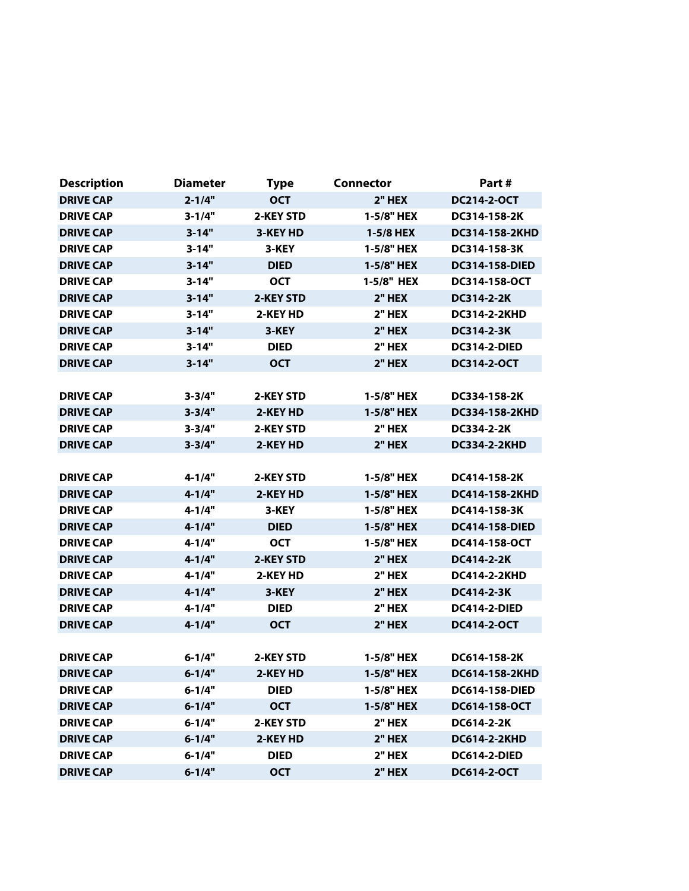# N&N Drilling Supply Mfr. . (800) 334-4927

| <b>Description</b> | <b>Diameter</b> | <b>Type</b>      | <b>Connector</b> | Part #                |
|--------------------|-----------------|------------------|------------------|-----------------------|
| <b>DRIVE CAP</b>   | $2 - 1/4"$      | <b>OCT</b>       | 2" HEX           | <b>DC214-2-OCT</b>    |
| <b>DRIVE CAP</b>   | $3 - 1/4"$      | 2-KEY STD        | 1-5/8" HEX       | DC314-158-2K          |
| <b>DRIVE CAP</b>   | $3 - 14"$       | 3-KEY HD         | $1-5/8$ HEX      | <b>DC314-158-2KHD</b> |
| <b>DRIVE CAP</b>   | $3 - 14"$       | 3-KEY            | 1-5/8" HEX       | DC314-158-3K          |
| <b>DRIVE CAP</b>   | $3 - 14"$       | <b>DIED</b>      | 1-5/8" HEX       | <b>DC314-158-DIED</b> |
| <b>DRIVE CAP</b>   | $3 - 14"$       | <b>OCT</b>       | 1-5/8" HEX       | <b>DC314-158-OCT</b>  |
| <b>DRIVE CAP</b>   | $3 - 14"$       | 2-KEY STD        | 2" HEX           | DC314-2-2K            |
| <b>DRIVE CAP</b>   | $3 - 14"$       | 2-KEY HD         | $2"$ HEX         | <b>DC314-2-2KHD</b>   |
| <b>DRIVE CAP</b>   | $3 - 14"$       | 3-KEY            | $2"$ HEX         | DC314-2-3K            |
| <b>DRIVE CAP</b>   | $3 - 14"$       | <b>DIED</b>      | 2" HEX           | <b>DC314-2-DIED</b>   |
| <b>DRIVE CAP</b>   | $3 - 14"$       | <b>OCT</b>       | 2" HEX           | <b>DC314-2-OCT</b>    |
|                    |                 |                  |                  |                       |
| <b>DRIVE CAP</b>   | $3 - 3/4"$      | 2-KEY STD        | 1-5/8" HEX       | DC334-158-2K          |
| <b>DRIVE CAP</b>   | $3 - 3/4"$      | 2-KEY HD         | 1-5/8" HEX       | <b>DC334-158-2KHD</b> |
| <b>DRIVE CAP</b>   | $3 - 3/4"$      | 2-KEY STD        | 2" HEX           | DC334-2-2K            |
| <b>DRIVE CAP</b>   | $3 - 3/4"$      | 2-KEY HD         | 2" HEX           | <b>DC334-2-2KHD</b>   |
|                    |                 |                  |                  |                       |
| <b>DRIVE CAP</b>   | 4-1/4"          | 2-KEY STD        | 1-5/8" HEX       | DC414-158-2K          |
| <b>DRIVE CAP</b>   | $4 - 1/4"$      | 2-KEY HD         | 1-5/8" HEX       | DC414-158-2KHD        |
| <b>DRIVE CAP</b>   | 4-1/4"          | 3-KEY            | 1-5/8" HEX       | DC414-158-3K          |
| <b>DRIVE CAP</b>   | $4 - 1/4"$      | <b>DIED</b>      | 1-5/8" HEX       | <b>DC414-158-DIED</b> |
| <b>DRIVE CAP</b>   | $4 - 1/4"$      | <b>OCT</b>       | 1-5/8" HEX       | <b>DC414-158-OCT</b>  |
| <b>DRIVE CAP</b>   | $4 - 1/4"$      | 2-KEY STD        | 2" HEX           | DC414-2-2K            |
| <b>DRIVE CAP</b>   | 4-1/4"          | 2-KEY HD         | 2" HEX           | <b>DC414-2-2KHD</b>   |
| <b>DRIVE CAP</b>   | $4 - 1/4"$      | 3-KEY            | 2" HEX           | DC414-2-3K            |
| <b>DRIVE CAP</b>   | 4-1/4"          | <b>DIED</b>      | 2" HEX           | DC414-2-DIED          |
| <b>DRIVE CAP</b>   | $4 - 1/4"$      | <b>OCT</b>       | 2" HEX           | <b>DC414-2-OCT</b>    |
|                    |                 |                  |                  |                       |
| <b>DRIVE CAP</b>   | $6 - 1/4"$      | <b>2-KEY STD</b> | 1-5/8" HEX       | DC614-158-2K          |
| <b>DRIVE CAP</b>   | $6 - 1/4"$      | 2-KEY HD         | 1-5/8" HEX       | <b>DC614-158-2KHD</b> |
| <b>DRIVE CAP</b>   | $6 - 1/4"$      | <b>DIED</b>      | 1-5/8" HEX       | <b>DC614-158-DIED</b> |
| <b>DRIVE CAP</b>   | $6 - 1/4"$      | <b>OCT</b>       | 1-5/8" HEX       | <b>DC614-158-OCT</b>  |
| <b>DRIVE CAP</b>   | $6 - 1/4"$      | <b>2-KEY STD</b> | 2" HEX           | DC614-2-2K            |
| <b>DRIVE CAP</b>   | $6 - 1/4"$      | 2-KEY HD         | $2"$ HEX         | <b>DC614-2-2KHD</b>   |
| <b>DRIVE CAP</b>   | $6 - 1/4"$      | <b>DIED</b>      | 2" HEX           | DC614-2-DIED          |
| <b>DRIVE CAP</b>   | $6 - 1/4"$      | <b>OCT</b>       | 2" HEX           | <b>DC614-2-OCT</b>    |

Under N&N Drilling's Total Quality Management program, we reserve the right to modify design and materials without prior notice.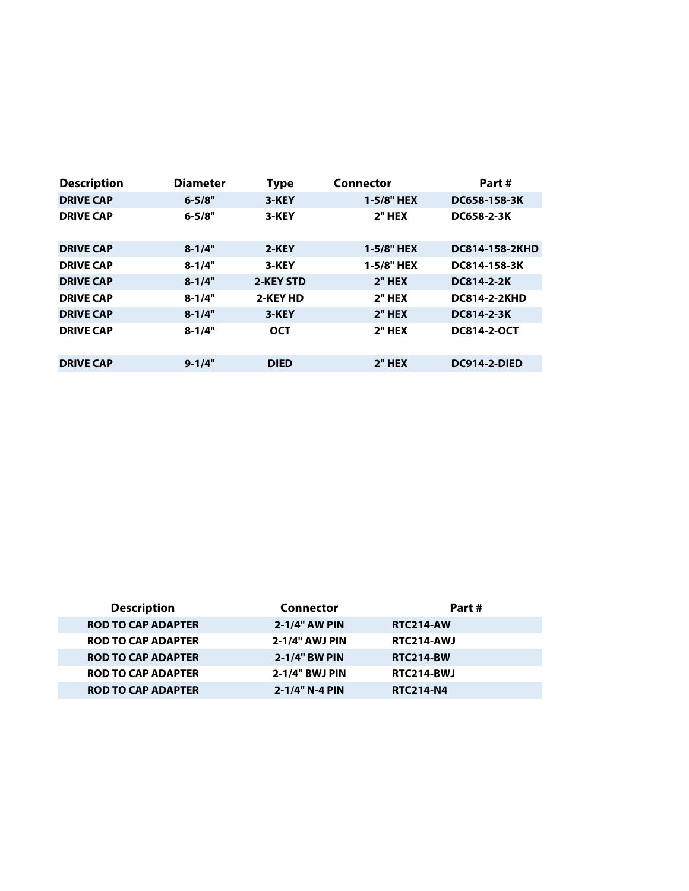# N&N Drilling Supply Mfr. . (800) 334-4927

| <b>Description</b> | <b>Diameter</b> | <b>Type</b> | Connector  | Part#               |
|--------------------|-----------------|-------------|------------|---------------------|
| <b>DRIVE CAP</b>   | $6 - 5/8"$      | 3-KEY       | 1-5/8" HEX | DC658-158-3K        |
| <b>DRIVE CAP</b>   | $6 - 5/8"$      | 3-KEY       | $2"$ HEX   | DC658-2-3K          |
| <b>DRIVE CAP</b>   | $8 - 1/4"$      | $2-KEY$     | 1-5/8" HEX | DC814-158-2KHD      |
| <b>DRIVE CAP</b>   | $8 - 1/4"$      | 3-KEY       | 1-5/8" HEX | DC814-158-3K        |
| <b>DRIVE CAP</b>   | $8 - 1/4"$      | 2-KEY STD   | $2"$ HEX   | <b>DC814-2-2K</b>   |
| <b>DRIVE CAP</b>   | $8 - 1/4"$      | 2-KEY HD    | $2"$ HEX   | <b>DC814-2-2KHD</b> |
| <b>DRIVE CAP</b>   | $8 - 1/4"$      | 3-KEY       | $2"$ HEX   | <b>DC814-2-3K</b>   |
| <b>DRIVE CAP</b>   | $8 - 1/4"$      | <b>OCT</b>  | $2"$ HEX   | <b>DC814-2-OCT</b>  |
| <b>DRIVE CAP</b>   | $9 - 1/4"$      | <b>DIED</b> | $2"$ HEX   | <b>DC914-2-DIED</b> |

| <b>Description</b>        | Connector        | Part #           |
|---------------------------|------------------|------------------|
| <b>ROD TO CAP ADAPTER</b> | $2-1/4$ " AW PIN | <b>RTC214-AW</b> |
| <b>ROD TO CAP ADAPTER</b> | 2-1/4" AWJ PIN   | RTC214-AWJ       |
| <b>ROD TO CAP ADAPTER</b> | 2-1/4" BW PIN    | RTC214-BW        |
| <b>ROD TO CAP ADAPTER</b> | 2-1/4" BWJ PIN   | RTC214-BWJ       |
| <b>ROD TO CAP ADAPTER</b> | 2-1/4" N-4 PIN   | <b>RTC214-N4</b> |

Under N&N Drilling's Total Quality Management program, we reserve the right to modify design and materials without prior notice.